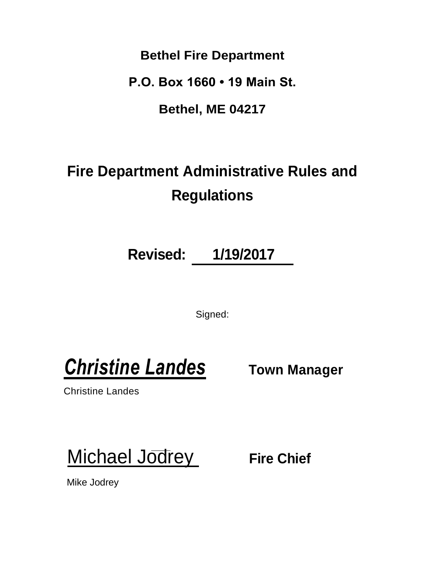**Bethel Fire Department**

**P.O. Box 1660 • 19 Main St.**

**Bethel, ME 04217**

# **Fire Department Administrative Rules and Regulations**

**Revised: 1/19/2017**

Signed:

**Christine Landes** Town Manager

Christine Landes

**Michael Jodrey Fire Chief** 

Mike Jodrey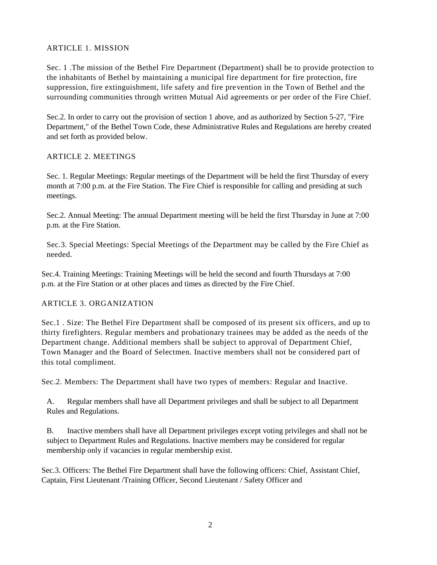#### ARTICLE 1. MISSION

Sec. 1 .The mission of the Bethel Fire Department (Department) shall be to provide protection to the inhabitants of Bethel by maintaining a municipal fire department for fire protection, fire suppression, fire extinguishment, life safety and fire prevention in the Town of Bethel and the surrounding communities through written Mutual Aid agreements or per order of the Fire Chief.

Sec.2. In order to carry out the provision of section 1 above, and as authorized by Section 5-27, "Fire Department," of the Bethel Town Code, these Administrative Rules and Regulations are hereby created and set forth as provided below.

#### ARTICLE 2. MEETINGS

Sec. 1. Regular Meetings: Regular meetings of the Department will be held the first Thursday of every month at 7:00 p.m. at the Fire Station. The Fire Chief is responsible for calling and presiding at such meetings.

Sec.2. Annual Meeting: The annual Department meeting will be held the first Thursday in June at 7:00 p.m. at the Fire Station.

Sec.3. Special Meetings: Special Meetings of the Department may be called by the Fire Chief as needed.

Sec.4. Training Meetings: Training Meetings will be held the second and fourth Thursdays at 7:00 p.m. at the Fire Station or at other places and times as directed by the Fire Chief.

#### ARTICLE 3. ORGANIZATION

Sec.1 . Size: The Bethel Fire Department shall be composed of its present six officers, and up to thirty firefighters. Regular members and probationary trainees may be added as the needs of the Department change. Additional members shall be subject to approval of Department Chief, Town Manager and the Board of Selectmen. Inactive members shall not be considered part of this total compliment.

Sec.2. Members: The Department shall have two types of members: Regular and Inactive.

A. Regular members shall have all Department privileges and shall be subject to all Department Rules and Regulations.

B. Inactive members shall have all Department privileges except voting privileges and shall not be subject to Department Rules and Regulations. Inactive members may be considered for regular membership only if vacancies in regular membership exist.

Sec.3. Officers: The Bethel Fire Department shall have the following officers: Chief, Assistant Chief, Captain, First Lieutenant /Training Officer, Second Lieutenant / Safety Officer and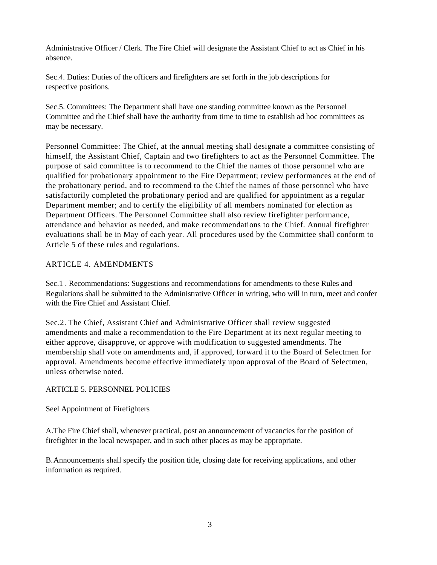Administrative Officer / Clerk. The Fire Chief will designate the Assistant Chief to act as Chief in his absence.

Sec.4. Duties: Duties of the officers and firefighters are set forth in the job descriptions for respective positions.

Sec.5. Committees: The Department shall have one standing committee known as the Personnel Committee and the Chief shall have the authority from time to time to establish ad hoc committees as may be necessary.

Personnel Committee: The Chief, at the annual meeting shall designate a committee consisting of himself, the Assistant Chief, Captain and two firefighters to act as the Personnel Committee. The purpose of said committee is to recommend to the Chief the names of those personnel who are qualified for probationary appointment to the Fire Department; review performances at the end of the probationary period, and to recommend to the Chief the names of those personnel who have satisfactorily completed the probationary period and are qualified for appointment as a regular Department member; and to certify the eligibility of all members nominated for election as Department Officers. The Personnel Committee shall also review firefighter performance, attendance and behavior as needed, and make recommendations to the Chief. Annual firefighter evaluations shall be in May of each year. All procedures used by the Committee shall conform to Article 5 of these rules and regulations.

#### ARTICLE 4. AMENDMENTS

Sec.1 . Recommendations: Suggestions and recommendations for amendments to these Rules and Regulations shall be submitted to the Administrative Officer in writing, who will in turn, meet and confer with the Fire Chief and Assistant Chief.

Sec.2. The Chief, Assistant Chief and Administrative Officer shall review suggested amendments and make a recommendation to the Fire Department at its next regular meeting to either approve, disapprove, or approve with modification to suggested amendments. The membership shall vote on amendments and, if approved, forward it to the Board of Selectmen for approval. Amendments become effective immediately upon approval of the Board of Selectmen, unless otherwise noted.

#### ARTICLE 5. PERSONNEL POLICIES

#### Seel Appointment of Firefighters

A.The Fire Chief shall, whenever practical, post an announcement of vacancies for the position of firefighter in the local newspaper, and in such other places as may be appropriate.

B.Announcements shall specify the position title, closing date for receiving applications, and other information as required.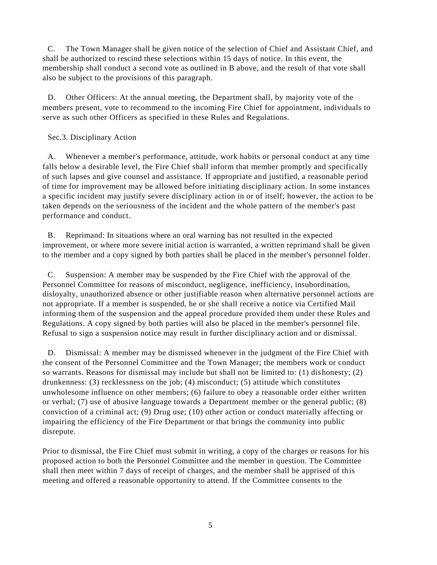C. The Town Manager shall be given notice of the selection of Chief and Assistant Chief, and shall be authorized to rescind these selections within 15 days of notice. In this event, the membership shall conduct a second vote as outlined in B above, and the result of that vote shall also be subject to the provisions of this paragraph.

D. Other Officers: At the annual meeting, the Department shall, by majority vote of the members present, vote to recommend to the incoming Fire Chief for appointment, individuals to serve as such other Officers as specified in these Rules and Regulations.

#### Sec.3. Disciplinary Action

A. Whenever a member's performance, attitude, work habits or personal conduct at any time falls below a desirable level, the Fire Chief shall inform that member promptly and specifically of such lapses and give counsel and assistance. If appropriate and justified, a reasonable period of time for improvement may be allowed before initiating disciplinary action. In some instances a specific incident may justify severe disciplinary action in or of itself; however, the action to be taken depends on the seriousness of the incident and the whole pattern of the member's past performance and conduct.

B. Reprimand: In situations where an oral warning has not resulted in the expected improvement, or where more severe initial action is warranted, a written reprimand s hall be given to the member and a copy signed by both parties shall be placed in the member's personnel folder.

C. Suspension: A member may be suspended by the Fire Chief with the approval of the Personnel Committee for reasons of misconduct, negligence, inefficiency, insubordination, disloyalty, unauthorized absence or other justifiable reason when alternative personnel actions are not appropriate. If a member is suspended, he or she shall receive a notice via Certified Mail informing them of the suspension and the appeal procedure provided them under these Rules and Regulations. A copy signed by both parties will also be placed in the member's personnel file. Refusal to sign a suspension notice may result in further disciplinary action and or dismissal.

D. Dismissal: A member may be dismissed whenever in the judgment of the Fire Chief with the consent of the Personnel Committee and the Town Manager; the members work or conduct so warrants. Reasons for dismissal may include but shall not be limited to: (1) dishonesty; (2) drunkenness: (3) recklessness on the job; (4) misconduct; (5) attitude which constitutes unwholesome influence on other members; (6) failure to obey a reasonable order either written or verbal; (7) use of abusive language towards a Department member or the general public; (8) conviction of a criminal act; (9) Drug use; (10) other action or conduct materially affecting or impairing the efficiency of the Fire Department or that brings the community into public disrepute.

Prior to dismissal, the Fire Chief must submit in writing, a copy of the charges or reasons for his proposed action to both the Personnel Committee and the member in question. The Committee shall then meet within 7 days of receipt of charges, and the member shall be apprised of this meeting and offered a reasonable opportunity to attend. If the Committee consents to the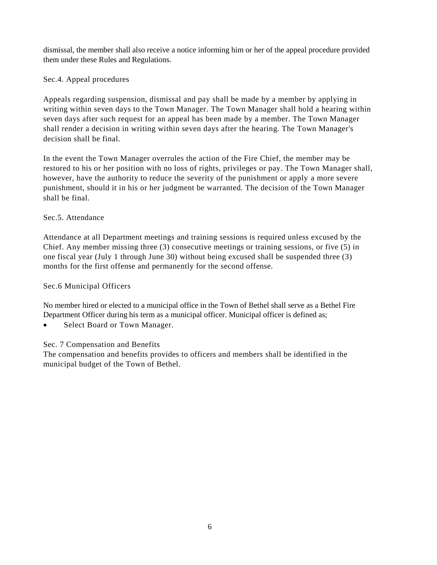dismissal, the member shall also receive a notice informing him or her of the appeal procedure provided them under these Rules and Regulations.

#### Sec.4. Appeal procedures

Appeals regarding suspension, dismissal and pay shall be made by a member by applying in writing within seven days to the Town Manager. The Town Manager shall hold a hearing within seven days after such request for an appeal has been made by a member. The Town Manager shall render a decision in writing within seven days after the hearing. The Town Manager's decision shall be final.

In the event the Town Manager overrules the action of the Fire Chief, the member may be restored to his or her position with no loss of rights, privileges or pay. The Town Manager shall, however, have the authority to reduce the severity of the punishment or apply a more severe punishment, should it in his or her judgment be warranted. The decision of the Town Manager shall be final.

#### Sec.<sub>5</sub>. Attendance

Attendance at all Department meetings and training sessions is required unless excused by the Chief. Any member missing three (3) consecutive meetings or training sessions, or five (5) in one fiscal year (July 1 through June 30) without being excused shall be suspended three (3) months for the first offense and permanently for the second offense.

#### Sec.6 Municipal Officers

No member hired or elected to a municipal office in the Town of Bethel shall serve as a Bethel Fire Department Officer during his term as a municipal officer. Municipal officer is defined as;

• Select Board or Town Manager.

#### Sec. 7 Compensation and Benefits

The compensation and benefits provides to officers and members shall be identified in the municipal budget of the Town of Bethel.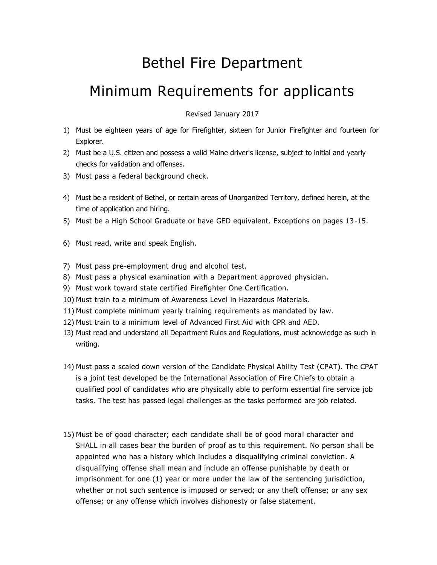### Bethel Fire Department

### Minimum Requirements for applicants

Revised January 2017

- 1) Must be eighteen years of age for Firefighter, sixteen for Junior Firefighter and fourteen for Explorer.
- 2) Must be a U.S. citizen and possess a valid Maine driver's license, subject to initial and yearly checks for validation and offenses.
- 3) Must pass a federal background check.
- 4) Must be a resident of Bethel, or certain areas of Unorganized Territory, defined herein, at the time of application and hiring.
- 5) Must be a High School Graduate or have GED equivalent. Exceptions on pages 13 -15.
- 6) Must read, write and speak English.
- 7) Must pass pre-employment drug and alcohol test.
- 8) Must pass a physical examination with a Department approved physician.
- 9) Must work toward state certified Firefighter One Certification.
- 10) Must train to a minimum of Awareness Level in Hazardous Materials.
- 11) Must complete minimum yearly training requirements as mandated by law.
- 12) Must train to a minimum level of Advanced First Aid with CPR and AED.
- 13) Must read and understand all Department Rules and Regulations, must acknowledge as such in writing.
- 14) Must pass a scaled down version of the Candidate Physical Ability Test (CPAT). The CPAT is a joint test developed be the International Association of Fire Chiefs to obtain a qualified pool of candidates who are physically able to perform essential fire service job tasks. The test has passed legal challenges as the tasks performed are job related.
- 15) Must be of good character; each candidate shall be of good moral character and SHALL in all cases bear the burden of proof as to this requirement. No person shall be appointed who has a history which includes a disqualifying criminal conviction. A disqualifying offense shall mean and include an offense punishable by d eath or imprisonment for one (1) year or more under the law of the sentencing jurisdiction, whether or not such sentence is imposed or served; or any theft offense; or any sex offense; or any offense which involves dishonesty or false statement.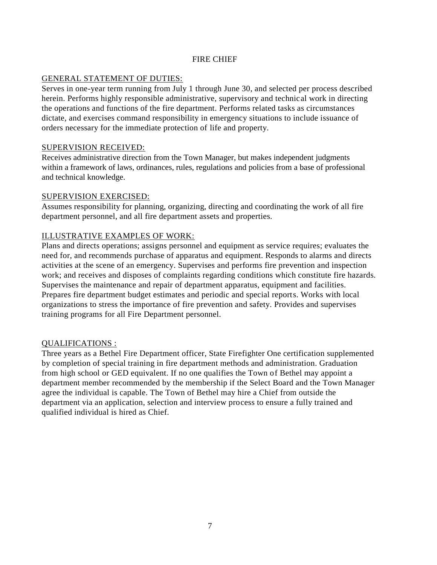#### FIRE CHIEF

#### GENERAL STATEMENT OF DUTIES:

Serves in one-year term running from July 1 through June 30, and selected per process described herein. Performs highly responsible administrative, supervisory and technical work in directing the operations and functions of the fire department. Performs related tasks as circumstances dictate, and exercises command responsibility in emergency situations to include issuance of orders necessary for the immediate protection of life and property.

#### SUPERVISION RECEIVED:

Receives administrative direction from the Town Manager, but makes independent judgments within a framework of laws, ordinances, rules, regulations and policies from a base of professional and technical knowledge.

#### SUPERVISION EXERCISED:

Assumes responsibility for planning, organizing, directing and coordinating the work of all fire department personnel, and all fire department assets and properties.

#### ILLUSTRATIVE EXAMPLES OF WORK:

Plans and directs operations; assigns personnel and equipment as service requires; evaluates the need for, and recommends purchase of apparatus and equipment. Responds to alarms and directs activities at the scene of an emergency. Supervises and performs fire prevention and inspection work; and receives and disposes of complaints regarding conditions which constitute fire hazards. Supervises the maintenance and repair of department apparatus, equipment and facilities. Prepares fire department budget estimates and periodic and special reports. Works with local organizations to stress the importance of fire prevention and safety. Provides and supervises training programs for all Fire Department personnel.

#### QUALIFICATIONS :

Three years as a Bethel Fire Department officer, State Firefighter One certification supplemented by completion of special training in fire department methods and administration. Graduation from high school or GED equivalent. If no one qualifies the Town of Bethel may appoint a department member recommended by the membership if the Select Board and the Town Manager agree the individual is capable. The Town of Bethel may hire a Chief from outside the department via an application, selection and interview process to ensure a fully trained and qualified individual is hired as Chief.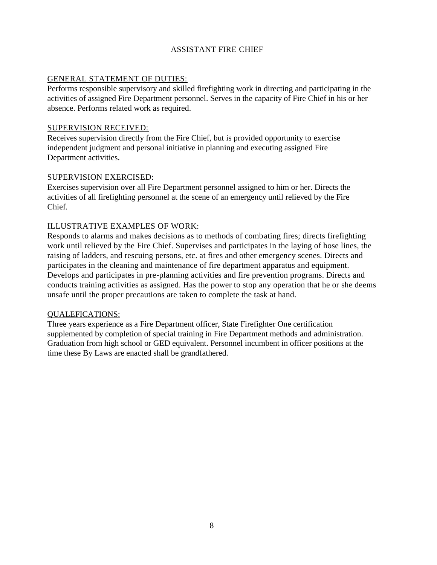#### ASSISTANT FIRE CHIEF

#### GENERAL STATEMENT OF DUTIES:

Performs responsible supervisory and skilled firefighting work in directing and participating in the activities of assigned Fire Department personnel. Serves in the capacity of Fire Chief in his or her absence. Performs related work as required.

#### SUPERVISION RECEIVED:

Receives supervision directly from the Fire Chief, but is provided opportunity to exercise independent judgment and personal initiative in planning and executing assigned Fire Department activities.

#### SUPERVISION EXERCISED:

Exercises supervision over all Fire Department personnel assigned to him or her. Directs the activities of all firefighting personnel at the scene of an emergency until relieved by the Fire Chief.

#### ILLUSTRATIVE EXAMPLES OF WORK:

Responds to alarms and makes decisions as to methods of combating fires; directs firefighting work until relieved by the Fire Chief. Supervises and participates in the laying of hose lines, the raising of ladders, and rescuing persons, etc. at fires and other emergency scenes. Directs and participates in the cleaning and maintenance of fire department apparatus and equipment. Develops and participates in pre-planning activities and fire prevention programs. Directs and conducts training activities as assigned. Has the power to stop any operation that he or she deems unsafe until the proper precautions are taken to complete the task at hand.

#### QUALEFICATIONS:

Three years experience as a Fire Department officer, State Firefighter One certification supplemented by completion of special training in Fire Department methods and administration. Graduation from high school or GED equivalent. Personnel incumbent in officer positions at the time these By Laws are enacted shall be grandfathered.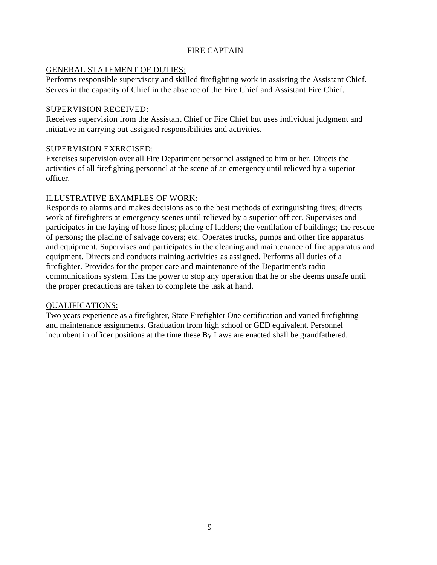#### FIRE CAPTAIN

#### GENERAL STATEMENT OF DUTIES:

Performs responsible supervisory and skilled firefighting work in assisting the Assistant Chief. Serves in the capacity of Chief in the absence of the Fire Chief and Assistant Fire Chief.

#### SUPERVISION RECEIVED:

Receives supervision from the Assistant Chief or Fire Chief but uses individual judgment and initiative in carrying out assigned responsibilities and activities.

#### SUPERVISION EXERCISED:

Exercises supervision over all Fire Department personnel assigned to him or her. Directs the activities of all firefighting personnel at the scene of an emergency until relieved by a superior officer.

#### ILLUSTRATIVE EXAMPLES OF WORK:

Responds to alarms and makes decisions as to the best methods of extinguishing fires; directs work of firefighters at emergency scenes until relieved by a superior officer. Supervises and participates in the laying of hose lines; placing of ladders; the ventilation of buildings; the rescue of persons; the placing of salvage covers; etc. Operates trucks, pumps and other fire apparatus and equipment. Supervises and participates in the cleaning and maintenance of fire apparatus and equipment. Directs and conducts training activities as assigned. Performs all duties of a firefighter. Provides for the proper care and maintenance of the Department's radio communications system. Has the power to stop any operation that he or she deems unsafe until the proper precautions are taken to complete the task at hand.

#### QUALIFICATIONS:

Two years experience as a firefighter, State Firefighter One certification and varied firefighting and maintenance assignments. Graduation from high school or GED equivalent. Personnel incumbent in officer positions at the time these By Laws are enacted shall be grandfathered.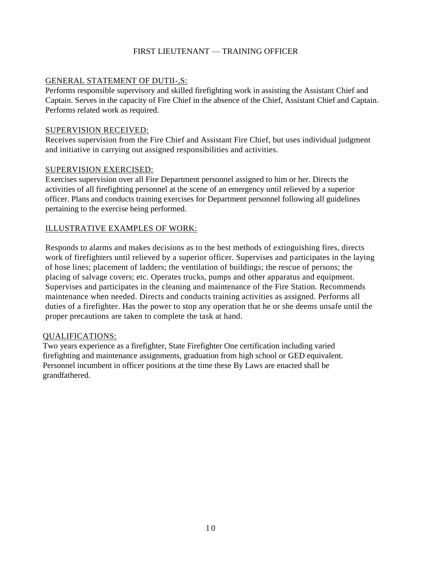#### FIRST LIEUTENANT — TRAINING OFFICER

#### GENERAL STATEMENT OF DUTII-,S:

Performs responsible supervisory and skilled firefighting work in assisting the Assistant Chief and Captain. Serves in the capacity of Fire Chief in the absence of the Chief, Assistant Chief and Captain. Performs related work as required.

#### SUPERVISION RECEIVED:

Receives supervision from the Fire Chief and Assistant Fire Chief, but uses individual judgment and initiative in carrying out assigned responsibilities and activities.

#### SUPERVISION EXERCISED:

Exercises supervision over all Fire Department personnel assigned to him or her. Directs the activities of all firefighting personnel at the scene of an emergency until relieved by a superior officer. Plans and conducts training exercises for Department personnel following all guidelines pertaining to the exercise being performed.

#### ILLUSTRATIVE EXAMPLES OF WORK:

Responds to alarms and makes decisions as to the best methods of extinguishing fires, directs work of firefighters until relieved by a superior officer. Supervises and participates in the laying of hose lines; placement of ladders; the ventilation of buildings; the rescue of persons; the placing of salvage covers; etc. Operates trucks, pumps and other apparatus and equipment. Supervises and participates in the cleaning and maintenance of the Fire Station. Recommends maintenance when needed. Directs and conducts training activities as assigned. Performs all duties of a firefighter. Has the power to stop any operation that he or she deems unsafe until the proper precautions are taken to complete the task at hand.

#### QUALIFICATIONS:

Two years experience as a firefighter, State Firefighter One certification including varied firefighting and maintenance assignments, graduation from high school or GED equivalent. Personnel incumbent in officer positions at the time these By Laws are enacted shall be grandfathered.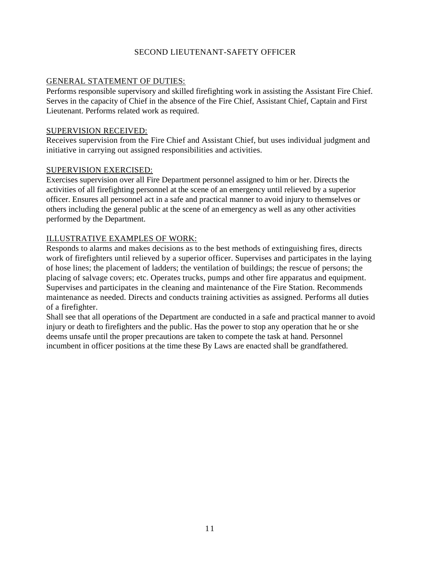#### SECOND LIEUTENANT-SAFETY OFFICER

#### GENERAL STATEMENT OF DUTIES:

Performs responsible supervisory and skilled firefighting work in assisting the Assistant Fire Chief. Serves in the capacity of Chief in the absence of the Fire Chief, Assistant Chief, Captain and First Lieutenant. Performs related work as required.

#### SUPERVISION RECEIVED:

Receives supervision from the Fire Chief and Assistant Chief, but uses individual judgment and initiative in carrying out assigned responsibilities and activities.

#### SUPERVISION EXERCISED:

Exercises supervision over all Fire Department personnel assigned to him or her. Directs the activities of all firefighting personnel at the scene of an emergency until relieved by a superior officer. Ensures all personnel act in a safe and practical manner to avoid injury to themselves or others including the general public at the scene of an emergency as well as any other activities performed by the Department.

#### ILLUSTRATIVE EXAMPLES OF WORK:

Responds to alarms and makes decisions as to the best methods of extinguishing fires, directs work of firefighters until relieved by a superior officer. Supervises and participates in the laying of hose lines; the placement of ladders; the ventilation of buildings; the rescue of persons; the placing of salvage covers; etc. Operates trucks, pumps and other fire apparatus and equipment. Supervises and participates in the cleaning and maintenance of the Fire Station. Recommends maintenance as needed. Directs and conducts training activities as assigned. Performs all duties of a firefighter.

Shall see that all operations of the Department are conducted in a safe and practical manner to avoid injury or death to firefighters and the public. Has the power to stop any operation that he or she deems unsafe until the proper precautions are taken to compete the task at hand. Personnel incumbent in officer positions at the time these By Laws are enacted shall be grandfathered.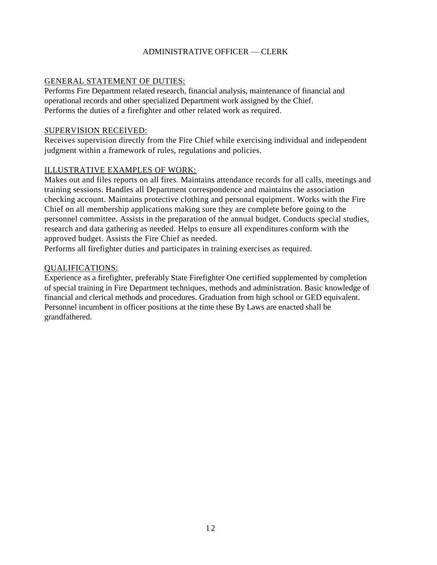#### ADMINISTRATIVE OFFICER — CLERK

#### GENERAL STATEMENT OF DUTIES:

Performs Fire Department related research, financial analysis, maintenance of financial and operational records and other specialized Department work assigned by the Chief. Performs the duties of a firefighter and other related work as required.

#### *S*UPERVISION RECEIVED:

Receives supervision directly from the Fire Chief while exercising individual and independent judgment within a framework of rules, regulations and policies.

#### ILLUSTRATIVE EXAMPLES OF WORK:

Makes out and files reports on all fires. Maintains attendance records for all calls, meetings and training sessions. Handles all Department correspondence and maintains the association checking account. Maintains protective clothing and personal equipment. Works with the Fire Chief on all membership applications making sure they are complete before going to the personnel committee. Assists in the preparation of the annual budget. Conducts special studies, research and data gathering as needed. Helps to ensure all expenditures conform with the approved budget. Assists the Fire Chief as needed.

Performs all firefighter duties and participates in training exercises as required.

#### QUALIFICATIONS:

Experience as a firefighter, preferably State Firefighter One certified supplemented by completion of special training in Fire Department techniques, methods and administration. Basic knowledge of financial and clerical methods and procedures. Graduation from high school or GED equivalent. Personnel incumbent in officer positions at the time these By Laws are enacted shall be grandfathered.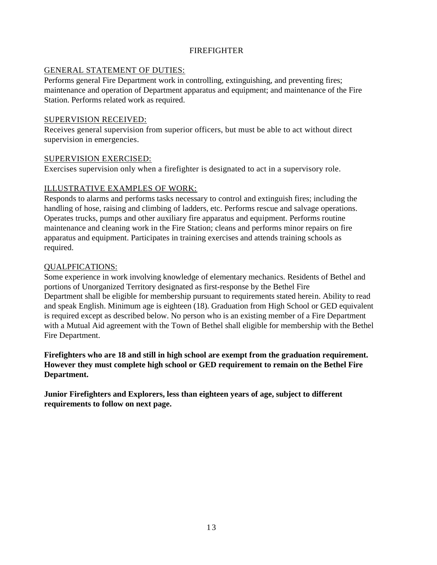#### FIREFIGHTER

#### GENERAL STATEMENT OF DUTIES:

Performs general Fire Department work in controlling, extinguishing, and preventing fires; maintenance and operation of Department apparatus and equipment; and maintenance of the Fire Station. Performs related work as required.

#### SUPERVISION RECEIVED:

Receives general supervision from superior officers, but must be able to act without direct supervision in emergencies.

#### SUPERVISION EXERCISED:

Exercises supervision only when a firefighter is designated to act in a supervisory role.

#### ILLUSTRATIVE EXAMPLES OF WORK:

Responds to alarms and performs tasks necessary to control and extinguish fires; including the handling of hose, raising and climbing of ladders, etc. Performs rescue and salvage operations. Operates trucks, pumps and other auxiliary fire apparatus and equipment. Performs routine maintenance and cleaning work in the Fire Station; cleans and performs minor repairs on fire apparatus and equipment. Participates in training exercises and attends training schools as required.

#### QUALPFICATIONS:

Some experience in work involving knowledge of elementary mechanics. Residents of Bethel and portions of Unorganized Territory designated as first-response by the Bethel Fire Department shall be eligible for membership pursuant to requirements stated herein. Ability to read and speak English. Minimum age is eighteen (18). Graduation from High School or GED equivalent is required except as described below. No person who is an existing member of a Fire Department with a Mutual Aid agreement with the Town of Bethel shall eligible for membership with the Bethel Fire Department.

**Firefighters who are 18 and still in high school are exempt from the graduation requirement. However they must complete high school or GED requirement to remain on the Bethel Fire Department.**

**Junior Firefighters and Explorers, less than eighteen years of age, subject to different requirements to follow on next page.**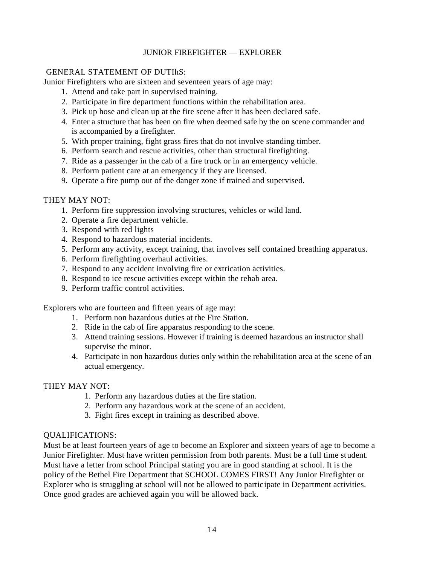#### JUNIOR FIREFIGHTER — EXPLORER

#### GENERAL STATEMENT OF DUTIhS:

Junior Firefighters who are sixteen and seventeen years of age may:

- 1. Attend and take part in supervised training.
- 2. Participate in fire department functions within the rehabilitation area.
- 3. Pick up hose and clean up at the fire scene after it has been declared safe.
- 4. Enter a structure that has been on fire when deemed safe by the on scene commander and is accompanied by a firefighter.
- 5. With proper training, fight grass fires that do not involve standing timber.
- 6. Perform search and rescue activities, other than structural firefighting.
- 7. Ride as a passenger in the cab of a fire truck or in an emergency vehicle.
- 8. Perform patient care at an emergency if they are licensed.
- 9. Operate a fire pump out of the danger zone if trained and supervised.

#### THEY MAY NOT:

- 1. Perform fire suppression involving structures, vehicles or wild land.
- 2. Operate a fire department vehicle.
- 3. Respond with red lights
- 4. Respond to hazardous material incidents.
- 5. Perform any activity, except training, that involves self contained breathing apparatus.
- 6. Perform firefighting overhaul activities.
- 7. Respond to any accident involving fire or extrication activities.
- 8. Respond to ice rescue activities except within the rehab area.
- 9. Perform traffic control activities.

Explorers who are fourteen and fifteen years of age may:

- 1. Perform non hazardous duties at the Fire Station.
- 2. Ride in the cab of fire apparatus responding to the scene.
- 3. Attend training sessions. However if training is deemed hazardous an instructor shall supervise the minor.
- 4. Participate in non hazardous duties only within the rehabilitation area at the scene of an actual emergency.

#### THEY MAY NOT:

- 1. Perform any hazardous duties at the fire station.
- 2. Perform any hazardous work at the scene of an accident.
- 3. Fight fires except in training as described above.

#### QUALIFICATIONS:

Must be at least fourteen years of age to become an Explorer and sixteen years of age to become a Junior Firefighter. Must have written permission from both parents. Must be a full time student. Must have a letter from school Principal stating you are in good standing at school. It is the policy of the Bethel Fire Department that SCHOOL COMES FIRST! Any Junior Firefighter or Explorer who is struggling at school will not be allowed to participate in Department activities. Once good grades are achieved again you will be allowed back.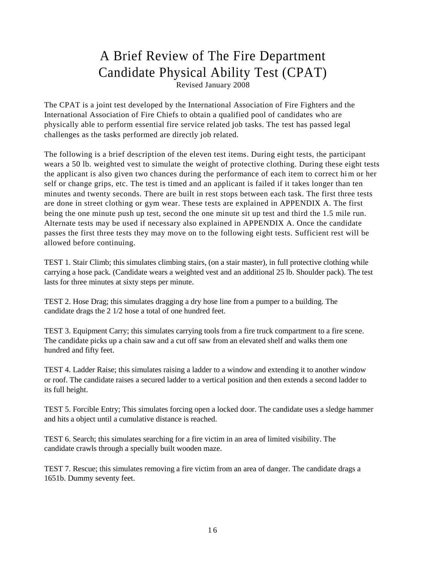## A Brief Review of The Fire Department Candidate Physical Ability Test (CPAT)

Revised January 2008

The CPAT is a joint test developed by the International Association of Fire Fighters and the International Association of Fire Chiefs to obtain a qualified pool of candidates who are physically able to perform essential fire service related job tasks. The test has passed legal challenges as the tasks performed are directly job related.

The following is a brief description of the eleven test items. During eight tests, the participant wears a 50 lb. weighted vest to simulate the weight of protective clothing. During these eight tests the applicant is also given two chances during the performance of each item to correct him or her self or change grips, etc. The test is timed and an applicant is failed if it takes longer than ten minutes and twenty seconds. There are built in rest stops between each task. The first three tests are done in street clothing or gym wear. These tests are explained in APPENDIX A. The first being the one minute push up test, second the one minute sit up test and third the 1.5 mile run. Alternate tests may be used if necessary also explained in APPENDIX A. Once the candidate passes the first three tests they may move on to the following eight tests. Sufficient rest will be allowed before continuing.

TEST 1. Stair Climb; this simulates climbing stairs, (on a stair master), in full protective clothing while carrying a hose pack. (Candidate wears a weighted vest and an additional 25 lb. Shoulder pack). The test lasts for three minutes at sixty steps per minute.

TEST 2. Hose Drag; this simulates dragging a dry hose line from a pumper to a building. The candidate drags the 2 1/2 hose a total of one hundred feet.

TEST 3. Equipment Carry; this simulates carrying tools from a fire truck compartment to a fire scene. The candidate picks up a chain saw and a cut off saw from an elevated shelf and walks them one hundred and fifty feet.

TEST 4. Ladder Raise; this simulates raising a ladder to a window and extending it to another window or roof. The candidate raises a secured ladder to a vertical position and then extends a second ladder to its full height.

TEST 5. Forcible Entry; This simulates forcing open a locked door. The candidate uses a sledge hammer and hits a object until a cumulative distance is reached.

TEST 6. Search; this simulates searching for a fire victim in an area of limited visibility. The candidate crawls through a specially built wooden maze.

TEST 7. Rescue; this simulates removing a fire victim from an area of danger. The candidate drags a 1651b. Dummy seventy feet.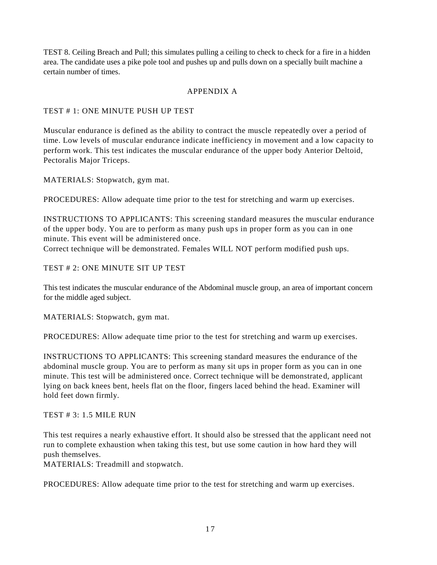TEST 8. Ceiling Breach and Pull; this simulates pulling a ceiling to check to check for a fire in a hidden area. The candidate uses a pike pole tool and pushes up and pulls down on a specially built machine a certain number of times.

#### APPENDIX A

TEST # 1: ONE MINUTE PUSH UP TEST

Muscular endurance is defined as the ability to contract the muscle repeatedly over a period of time. Low levels of muscular endurance indicate inefficiency in movement and a low capacity to perform work. This test indicates the muscular endurance of the upper body Anterior Deltoid, Pectoralis Major Triceps.

MATERIALS: Stopwatch, gym mat.

PROCEDURES: Allow adequate time prior to the test for stretching and warm up exercises.

INSTRUCTIONS TO APPLICANTS: This screening standard measures the muscular endurance of the upper body. You are to perform as many push ups in proper form as you can in one minute. This event will be administered once.

Correct technique will be demonstrated. Females WILL NOT perform modified push ups.

TEST # 2: ONE MINUTE SIT UP TEST

This test indicates the muscular endurance of the Abdominal muscle group, an area of important concern for the middle aged subject.

MATERIALS: Stopwatch, gym mat.

PROCEDURES: Allow adequate time prior to the test for stretching and warm up exercises.

INSTRUCTIONS TO APPLICANTS: This screening standard measures the endurance of the abdominal muscle group. You are to perform as many sit ups in proper form as you can in one minute. This test will be administered once. Correct technique will be demonstrated, applicant lying on back knees bent, heels flat on the floor, fingers laced behind the head. Examiner will hold feet down firmly.

#### TEST # 3: 1.5 MILE RUN

This test requires a nearly exhaustive effort. It should also be stressed that the applicant need not run to complete exhaustion when taking this test, but use some caution in how hard they will push themselves.

MATERIALS: Treadmill and stopwatch.

PROCEDURES: Allow adequate time prior to the test for stretching and warm up exercises.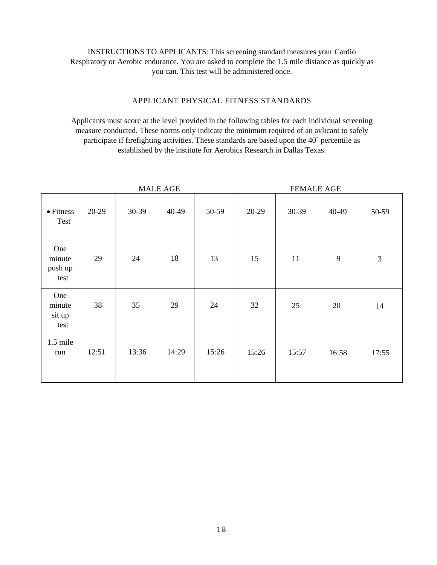#### INSTRUCTIONS TO APPLICANTS: This screening standard measures your Cardio Respiratory or Aerobic endurance. You are asked to complete the 1.5 mile distance as quickly as you can. This test will be administered once.

#### APPLICANT PHYSICAL FITNESS STANDARDS

Applicants must score at the level provided in the following tables for each individual screening measure conducted. These norms only indicate the minimum required of an avlicant to safely participate if firefighting activities. These standards are based upon the 40` percentile as established by the institute for Aerobics Research in Dallas Texas.

|                                  | <b>MALE AGE</b> |       |       |       | <b>FEMALE AGE</b> |       |       |                |
|----------------------------------|-----------------|-------|-------|-------|-------------------|-------|-------|----------------|
| $\bullet$ Fitness<br>Test        | 20-29           | 30-39 | 40-49 | 50-59 | 20-29             | 30-39 | 40-49 | 50-59          |
| One<br>minute<br>push up<br>test | 29              | 24    | 18    | 13    | 15                | 11    | 9     | $\mathfrak{Z}$ |
| One<br>minute<br>sit up<br>test  | 38              | 35    | 29    | 24    | 32                | 25    | 20    | 14             |
| 1.5 mile<br>run                  | 12:51           | 13:36 | 14:29 | 15:26 | 15:26             | 15:57 | 16:58 | 17:55          |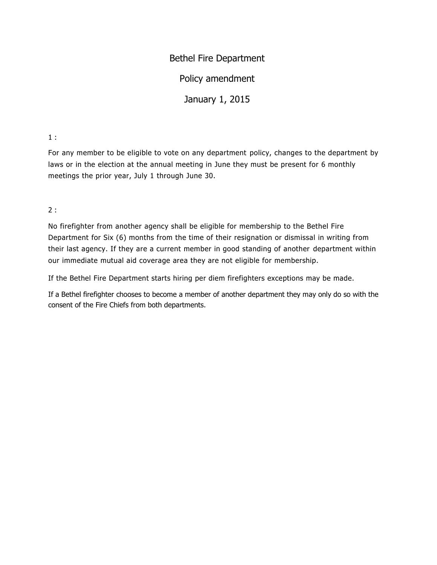### Bethel Fire Department

Policy amendment

January 1, 2015

#### 1 :

For any member to be eligible to vote on any department policy, changes to the department by laws or in the election at the annual meeting in June they must be present for 6 monthly meetings the prior year, July 1 through June 30.

2 :

No firefighter from another agency shall be eligible for membership to the Bethel Fire Department for Six (6) months from the time of their resignation or dismissal in writing from their last agency. If they are a current member in good standing of another department within our immediate mutual aid coverage area they are not eligible for membership.

If the Bethel Fire Department starts hiring per diem firefighters exceptions may be made.

If a Bethel firefighter chooses to become a member of another department they may only do so with the consent of the Fire Chiefs from both departments.